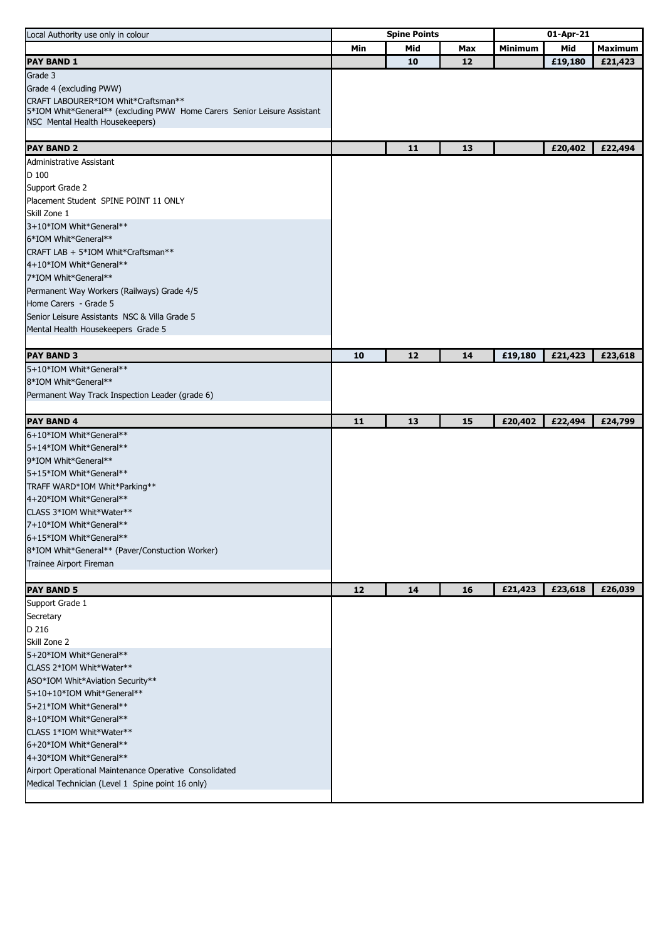| Local Authority use only in colour                                       | <b>Spine Points</b> |     |     | 01-Apr-21      |         |                |
|--------------------------------------------------------------------------|---------------------|-----|-----|----------------|---------|----------------|
|                                                                          | Min                 | Mid | Max | <b>Minimum</b> | Mid     | <b>Maximum</b> |
| <b>PAY BAND 1</b>                                                        |                     | 10  | 12  |                | £19,180 | £21,423        |
| Grade 3                                                                  |                     |     |     |                |         |                |
| Grade 4 (excluding PWW)                                                  |                     |     |     |                |         |                |
| CRAFT LABOURER*IOM Whit*Craftsman**                                      |                     |     |     |                |         |                |
| 5*IOM Whit*General** (excluding PWW Home Carers Senior Leisure Assistant |                     |     |     |                |         |                |
| NSC Mental Health Housekeepers)                                          |                     |     |     |                |         |                |
|                                                                          |                     |     |     |                |         |                |
| <b>PAY BAND 2</b>                                                        |                     | 11  | 13  |                | £20,402 | £22,494        |
| Administrative Assistant                                                 |                     |     |     |                |         |                |
| D 100                                                                    |                     |     |     |                |         |                |
| Support Grade 2                                                          |                     |     |     |                |         |                |
| Placement Student SPINE POINT 11 ONLY                                    |                     |     |     |                |         |                |
| Skill Zone 1                                                             |                     |     |     |                |         |                |
| 3+10*IOM Whit*General**                                                  |                     |     |     |                |         |                |
| 6*IOM Whit*General**<br>CRAFT LAB + 5*IOM Whit*Craftsman**               |                     |     |     |                |         |                |
| 4+10*IOM Whit*General**                                                  |                     |     |     |                |         |                |
| 7*IOM Whit*General**                                                     |                     |     |     |                |         |                |
| Permanent Way Workers (Railways) Grade 4/5                               |                     |     |     |                |         |                |
| Home Carers - Grade 5                                                    |                     |     |     |                |         |                |
| Senior Leisure Assistants NSC & Villa Grade 5                            |                     |     |     |                |         |                |
| Mental Health Housekeepers Grade 5                                       |                     |     |     |                |         |                |
|                                                                          |                     |     |     |                |         |                |
| <b>PAY BAND 3</b>                                                        | 10                  | 12  | 14  | £19,180        | £21,423 | £23,618        |
| 5+10*IOM Whit*General**                                                  |                     |     |     |                |         |                |
| 8*IOM Whit*General**                                                     |                     |     |     |                |         |                |
| Permanent Way Track Inspection Leader (grade 6)                          |                     |     |     |                |         |                |
|                                                                          |                     |     |     |                |         |                |
| <b>PAY BAND 4</b>                                                        | 11                  | 13  | 15  | £20,402        | £22,494 | £24,799        |
| 6+10*IOM Whit*General**                                                  |                     |     |     |                |         |                |
| 5+14*IOM Whit*General**                                                  |                     |     |     |                |         |                |
| 9*IOM Whit*General**                                                     |                     |     |     |                |         |                |
| 5+15*IOM Whit*General**                                                  |                     |     |     |                |         |                |
| TRAFF WARD*IOM Whit*Parking**                                            |                     |     |     |                |         |                |
| 4+20*IOM Whit*General**                                                  |                     |     |     |                |         |                |
| CLASS 3*IOM Whit*Water**                                                 |                     |     |     |                |         |                |
| 7+10*IOM Whit*General**                                                  |                     |     |     |                |         |                |
| 6+15*IOM Whit*General**                                                  |                     |     |     |                |         |                |
| 8*IOM Whit*General** (Paver/Constuction Worker)                          |                     |     |     |                |         |                |
| Trainee Airport Fireman                                                  |                     |     |     |                |         |                |
|                                                                          |                     |     |     |                |         |                |
| <b>PAY BAND 5</b>                                                        | 12                  | 14  | 16  | £21,423        | £23,618 | £26,039        |
| Support Grade 1                                                          |                     |     |     |                |         |                |
| Secretary<br>D 216                                                       |                     |     |     |                |         |                |
| Skill Zone 2                                                             |                     |     |     |                |         |                |
| 5+20*IOM Whit*General**                                                  |                     |     |     |                |         |                |
| CLASS 2*IOM Whit*Water**                                                 |                     |     |     |                |         |                |
| ASO*IOM Whit*Aviation Security**                                         |                     |     |     |                |         |                |
| 5+10+10*IOM Whit*General**                                               |                     |     |     |                |         |                |
| 5+21*IOM Whit*General**                                                  |                     |     |     |                |         |                |
| 8+10*IOM Whit*General**                                                  |                     |     |     |                |         |                |
| CLASS 1*IOM Whit*Water**                                                 |                     |     |     |                |         |                |
| 6+20*IOM Whit*General**                                                  |                     |     |     |                |         |                |
| 4+30*IOM Whit*General**                                                  |                     |     |     |                |         |                |
| Airport Operational Maintenance Operative Consolidated                   |                     |     |     |                |         |                |
| Medical Technician (Level 1 Spine point 16 only)                         |                     |     |     |                |         |                |
|                                                                          |                     |     |     |                |         |                |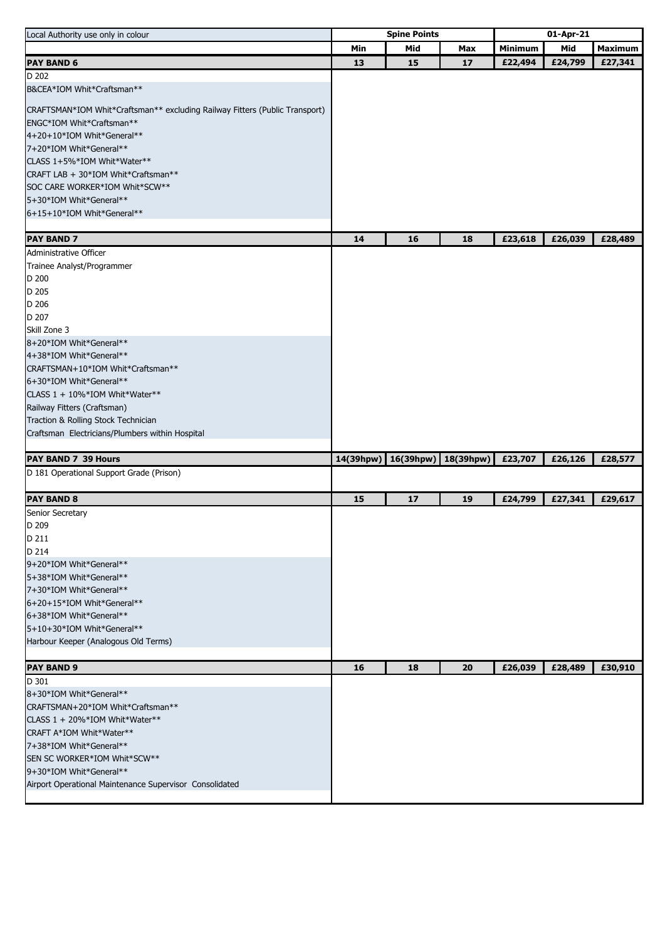| Local Authority use only in colour                                          | <b>Spine Points</b> |           |           | 01-Apr-21 |         |                |
|-----------------------------------------------------------------------------|---------------------|-----------|-----------|-----------|---------|----------------|
|                                                                             | Min                 | Mid       | Max       | Minimum   | Mid     | <b>Maximum</b> |
| <b>PAY BAND 6</b>                                                           | 13                  | 15        | 17        | £22,494   | £24,799 | £27,341        |
| D 202                                                                       |                     |           |           |           |         |                |
| B&CEA*IOM Whit*Craftsman**                                                  |                     |           |           |           |         |                |
| CRAFTSMAN*IOM Whit*Craftsman** excluding Railway Fitters (Public Transport) |                     |           |           |           |         |                |
| ENGC*IOM Whit*Craftsman**                                                   |                     |           |           |           |         |                |
| 4+20+10*IOM Whit*General**                                                  |                     |           |           |           |         |                |
| 7+20*IOM Whit*General**                                                     |                     |           |           |           |         |                |
| CLASS 1+5%*IOM Whit*Water**                                                 |                     |           |           |           |         |                |
| CRAFT LAB + 30*IOM Whit*Craftsman**                                         |                     |           |           |           |         |                |
| SOC CARE WORKER*IOM Whit*SCW**                                              |                     |           |           |           |         |                |
| 5+30*IOM Whit*General**                                                     |                     |           |           |           |         |                |
| 6+15+10*IOM Whit*General**                                                  |                     |           |           |           |         |                |
|                                                                             |                     |           |           |           |         |                |
| <b>PAY BAND 7</b>                                                           | 14                  | 16        | 18        | £23,618   | £26,039 | £28,489        |
| Administrative Officer<br>Trainee Analyst/Programmer                        |                     |           |           |           |         |                |
| D 200                                                                       |                     |           |           |           |         |                |
| D 205                                                                       |                     |           |           |           |         |                |
| D 206                                                                       |                     |           |           |           |         |                |
| D 207                                                                       |                     |           |           |           |         |                |
| Skill Zone 3                                                                |                     |           |           |           |         |                |
| 8+20*IOM Whit*General**                                                     |                     |           |           |           |         |                |
| 4+38*IOM Whit*General**                                                     |                     |           |           |           |         |                |
| CRAFTSMAN+10*IOM Whit*Craftsman**                                           |                     |           |           |           |         |                |
| 6+30*IOM Whit*General**                                                     |                     |           |           |           |         |                |
| CLASS 1 + 10%*IOM Whit*Water**                                              |                     |           |           |           |         |                |
| Railway Fitters (Craftsman)                                                 |                     |           |           |           |         |                |
| Traction & Rolling Stock Technician                                         |                     |           |           |           |         |                |
| Craftsman Electricians/Plumbers within Hospital                             |                     |           |           |           |         |                |
|                                                                             |                     |           |           |           |         |                |
| PAY BAND 7 39 Hours                                                         | 14(39hpw)           | 16(39hpw) | 18(39hpw) | £23,707   | £26,126 | £28,577        |
| D 181 Operational Support Grade (Prison)                                    |                     |           |           |           |         |                |
| <b>PAY BAND 8</b>                                                           | 15                  | 17        | 19        | £24,799   | £27,341 | £29,617        |
| Senior Secretary                                                            |                     |           |           |           |         |                |
| D 209                                                                       |                     |           |           |           |         |                |
| D 211                                                                       |                     |           |           |           |         |                |
| D 214                                                                       |                     |           |           |           |         |                |
| 9+20*IOM Whit*General**                                                     |                     |           |           |           |         |                |
| 5+38*IOM Whit*General**                                                     |                     |           |           |           |         |                |
| 7+30*IOM Whit*General**                                                     |                     |           |           |           |         |                |
| 6+20+15*IOM Whit*General**                                                  |                     |           |           |           |         |                |
| 6+38*IOM Whit*General**                                                     |                     |           |           |           |         |                |
| 5+10+30*IOM Whit*General**                                                  |                     |           |           |           |         |                |
| Harbour Keeper (Analogous Old Terms)                                        |                     |           |           |           |         |                |
| <b>PAY BAND 9</b>                                                           | 16                  | 18        | 20        | £26,039   | £28,489 | £30,910        |
| D 301                                                                       |                     |           |           |           |         |                |
| 8+30*IOM Whit*General**                                                     |                     |           |           |           |         |                |
| CRAFTSMAN+20*IOM Whit*Craftsman**                                           |                     |           |           |           |         |                |
| CLASS 1 + 20%*IOM Whit*Water**                                              |                     |           |           |           |         |                |
| CRAFT A*IOM Whit*Water**                                                    |                     |           |           |           |         |                |
| 7+38*IOM Whit*General**                                                     |                     |           |           |           |         |                |
| SEN SC WORKER*IOM Whit*SCW**                                                |                     |           |           |           |         |                |
| 9+30*IOM Whit*General**                                                     |                     |           |           |           |         |                |
| Airport Operational Maintenance Supervisor Consolidated                     |                     |           |           |           |         |                |
|                                                                             |                     |           |           |           |         |                |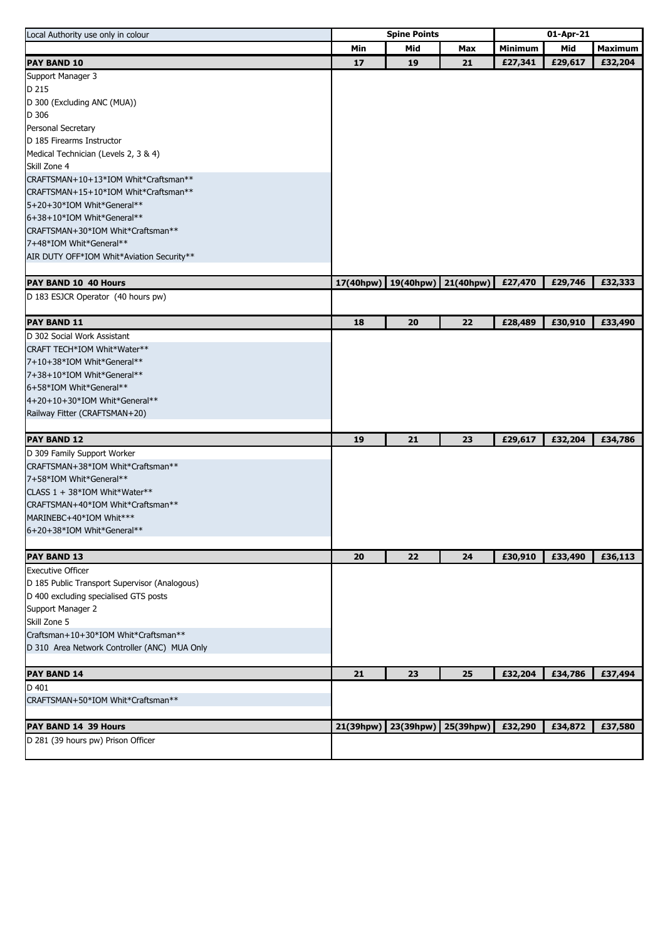| Local Authority use only in colour                                 | <b>Spine Points</b> |           |           | 01-Apr-21      |         |                |
|--------------------------------------------------------------------|---------------------|-----------|-----------|----------------|---------|----------------|
|                                                                    | Min                 | Mid       | Max       | <b>Minimum</b> | Mid     | <b>Maximum</b> |
| PAY BAND 10                                                        | 17                  | 19        | 21        | £27,341        | £29,617 | £32,204        |
| Support Manager 3                                                  |                     |           |           |                |         |                |
| D 215                                                              |                     |           |           |                |         |                |
| D 300 (Excluding ANC (MUA))                                        |                     |           |           |                |         |                |
| D 306                                                              |                     |           |           |                |         |                |
| Personal Secretary                                                 |                     |           |           |                |         |                |
| D 185 Firearms Instructor                                          |                     |           |           |                |         |                |
| Medical Technician (Levels 2, 3 & 4)                               |                     |           |           |                |         |                |
| Skill Zone 4                                                       |                     |           |           |                |         |                |
| CRAFTSMAN+10+13*IOM Whit*Craftsman**                               |                     |           |           |                |         |                |
| CRAFTSMAN+15+10*IOM Whit*Craftsman**                               |                     |           |           |                |         |                |
| 5+20+30*IOM Whit*General**                                         |                     |           |           |                |         |                |
| 6+38+10*IOM Whit*General**                                         |                     |           |           |                |         |                |
| CRAFTSMAN+30*IOM Whit*Craftsman**                                  |                     |           |           |                |         |                |
| 7+48*IOM Whit*General**                                            |                     |           |           |                |         |                |
| AIR DUTY OFF*IOM Whit*Aviation Security**                          |                     |           |           |                |         |                |
| PAY BAND 10 40 Hours                                               | 17(40hpw)           | 19(40hpw) | 21(40hpw) | £27,470        | £29,746 | £32,333        |
| D 183 ESJCR Operator (40 hours pw)                                 |                     |           |           |                |         |                |
|                                                                    |                     |           |           |                |         |                |
| <b>PAY BAND 11</b>                                                 | 18                  | 20        | 22        | £28,489        | £30,910 | £33,490        |
| D 302 Social Work Assistant                                        |                     |           |           |                |         |                |
| CRAFT TECH*IOM Whit*Water**                                        |                     |           |           |                |         |                |
| 7+10+38*IOM Whit*General**                                         |                     |           |           |                |         |                |
| 7+38+10*IOM Whit*General**                                         |                     |           |           |                |         |                |
| 6+58*IOM Whit*General**                                            |                     |           |           |                |         |                |
| 4+20+10+30*IOM Whit*General**                                      |                     |           |           |                |         |                |
| Railway Fitter (CRAFTSMAN+20)                                      |                     |           |           |                |         |                |
|                                                                    |                     |           |           |                |         |                |
| <b>PAY BAND 12</b>                                                 | 19                  | 21        | 23        | £29,617        | £32,204 | £34,786        |
| D 309 Family Support Worker                                        |                     |           |           |                |         |                |
| CRAFTSMAN+38*IOM Whit*Craftsman**                                  |                     |           |           |                |         |                |
| 7+58*IOM Whit*General**                                            |                     |           |           |                |         |                |
| CLASS 1 + 38*IOM Whit*Water**<br>CRAFTSMAN+40*IOM Whit*Craftsman** |                     |           |           |                |         |                |
| MARINEBC+40*IOM Whit***                                            |                     |           |           |                |         |                |
| 6+20+38*IOM Whit*General**                                         |                     |           |           |                |         |                |
|                                                                    |                     |           |           |                |         |                |
| <b>PAY BAND 13</b>                                                 | 20                  | 22        | 24        | £30,910        | £33,490 | £36,113        |
| <b>Executive Officer</b>                                           |                     |           |           |                |         |                |
| D 185 Public Transport Supervisor (Analogous)                      |                     |           |           |                |         |                |
| D 400 excluding specialised GTS posts                              |                     |           |           |                |         |                |
| Support Manager 2                                                  |                     |           |           |                |         |                |
| Skill Zone 5                                                       |                     |           |           |                |         |                |
| Craftsman+10+30*IOM Whit*Craftsman**                               |                     |           |           |                |         |                |
| D 310 Area Network Controller (ANC) MUA Only                       |                     |           |           |                |         |                |
| PAY BAND 14                                                        | 21                  | 23        | 25        | £32,204        | £34,786 | £37,494        |
| $D$ 401                                                            |                     |           |           |                |         |                |
| CRAFTSMAN+50*IOM Whit*Craftsman**                                  |                     |           |           |                |         |                |
|                                                                    |                     |           |           |                |         |                |
| PAY BAND 14 39 Hours                                               | 21(39hpw)           | 23(39hpw) | 25(39hpw) | £32,290        | £34,872 | £37,580        |
| D 281 (39 hours pw) Prison Officer                                 |                     |           |           |                |         |                |
|                                                                    |                     |           |           |                |         |                |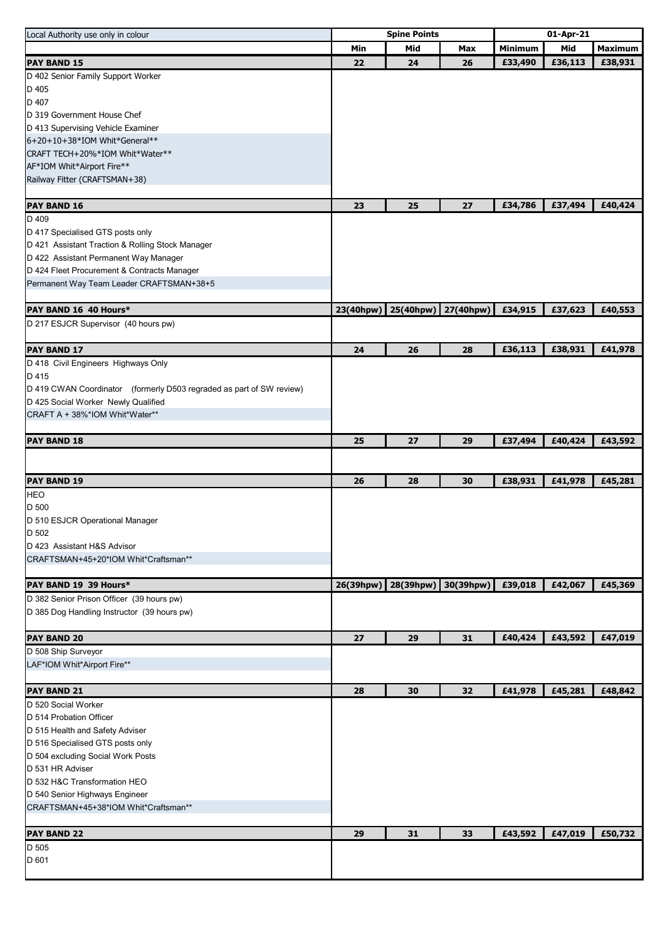| Local Authority use only in colour                                   | <b>Spine Points</b> |           |           | 01-Apr-21      |         |                |
|----------------------------------------------------------------------|---------------------|-----------|-----------|----------------|---------|----------------|
|                                                                      | Min                 | Mid       | Max       | <b>Minimum</b> | Mid     | <b>Maximum</b> |
| <b>PAY BAND 15</b>                                                   | 22                  | 24        | 26        | £33,490        | £36,113 | £38,931        |
| D 402 Senior Family Support Worker                                   |                     |           |           |                |         |                |
| D 405                                                                |                     |           |           |                |         |                |
| D 407                                                                |                     |           |           |                |         |                |
| D 319 Government House Chef                                          |                     |           |           |                |         |                |
| D 413 Supervising Vehicle Examiner                                   |                     |           |           |                |         |                |
| 6+20+10+38*IOM Whit*General**                                        |                     |           |           |                |         |                |
| CRAFT TECH+20%*IOM Whit*Water**                                      |                     |           |           |                |         |                |
| AF*IOM Whit*Airport Fire**                                           |                     |           |           |                |         |                |
| Railway Fitter (CRAFTSMAN+38)                                        |                     |           |           |                |         |                |
|                                                                      |                     |           |           |                |         |                |
| <b>PAY BAND 16</b>                                                   | 23                  | 25        | 27        | £34,786        | £37,494 | £40,424        |
| D 409                                                                |                     |           |           |                |         |                |
| D 417 Specialised GTS posts only                                     |                     |           |           |                |         |                |
| D 421 Assistant Traction & Rolling Stock Manager                     |                     |           |           |                |         |                |
|                                                                      |                     |           |           |                |         |                |
| D 422 Assistant Permanent Way Manager                                |                     |           |           |                |         |                |
| D 424 Fleet Procurement & Contracts Manager                          |                     |           |           |                |         |                |
| Permanent Way Team Leader CRAFTSMAN+38+5                             |                     |           |           |                |         |                |
|                                                                      |                     |           |           |                |         |                |
| PAY BAND 16 40 Hours*                                                | 23(40hpw)           | 25(40hpw) | 27(40hpw) | £34,915        | £37,623 | £40,553        |
| D 217 ESJCR Supervisor (40 hours pw)                                 |                     |           |           |                |         |                |
|                                                                      |                     |           |           |                |         |                |
| <b>PAY BAND 17</b>                                                   | 24                  | 26        | 28        | £36,113        | £38,931 | £41,978        |
| D 418 Civil Engineers Highways Only                                  |                     |           |           |                |         |                |
| D 415                                                                |                     |           |           |                |         |                |
| D 419 CWAN Coordinator (formerly D503 regraded as part of SW review) |                     |           |           |                |         |                |
| D 425 Social Worker Newly Qualified                                  |                     |           |           |                |         |                |
| CRAFT A + 38%*IOM Whit*Water**                                       |                     |           |           |                |         |                |
|                                                                      |                     |           |           |                |         |                |
| <b>PAY BAND 18</b>                                                   | 25                  | 27        | 29        | £37,494        | £40,424 | £43,592        |
|                                                                      |                     |           |           |                |         |                |
|                                                                      |                     |           |           |                |         |                |
| <b>PAY BAND 19</b>                                                   | 26                  | 28        | 30        | £38,931        | £41,978 | £45,281        |
| <b>HEO</b>                                                           |                     |           |           |                |         |                |
|                                                                      |                     |           |           |                |         |                |
| D 500                                                                |                     |           |           |                |         |                |
| D 510 ESJCR Operational Manager                                      |                     |           |           |                |         |                |
| D 502                                                                |                     |           |           |                |         |                |
| D 423 Assistant H&S Advisor                                          |                     |           |           |                |         |                |
| CRAFTSMAN+45+20*IOM Whit*Craftsman**                                 |                     |           |           |                |         |                |
|                                                                      |                     |           |           |                |         |                |
| PAY BAND 19 39 Hours*                                                | 26(39hpw)           | 28(39hpw) | 30(39hpw) | £39,018        | £42,067 | £45,369        |
| D 382 Senior Prison Officer (39 hours pw)                            |                     |           |           |                |         |                |
| D 385 Dog Handling Instructor (39 hours pw)                          |                     |           |           |                |         |                |
|                                                                      |                     |           |           |                |         |                |
| <b>PAY BAND 20</b>                                                   | 27                  | 29        | 31        | £40,424        | £43,592 | £47,019        |
| D 508 Ship Surveyor                                                  |                     |           |           |                |         |                |
| LAF*IOM Whit*Airport Fire**                                          |                     |           |           |                |         |                |
|                                                                      |                     |           |           |                |         |                |
| <b>PAY BAND 21</b>                                                   | 28                  | 30        | 32        | £41,978        | £45,281 | £48,842        |
| D 520 Social Worker                                                  |                     |           |           |                |         |                |
| D 514 Probation Officer                                              |                     |           |           |                |         |                |
|                                                                      |                     |           |           |                |         |                |
| D 515 Health and Safety Adviser                                      |                     |           |           |                |         |                |
| D 516 Specialised GTS posts only                                     |                     |           |           |                |         |                |
| D 504 excluding Social Work Posts                                    |                     |           |           |                |         |                |
| D 531 HR Adviser                                                     |                     |           |           |                |         |                |
| D 532 H&C Transformation HEO                                         |                     |           |           |                |         |                |
| D 540 Senior Highways Engineer                                       |                     |           |           |                |         |                |
| CRAFTSMAN+45+38*IOM Whit*Craftsman**                                 |                     |           |           |                |         |                |
|                                                                      |                     |           |           |                |         |                |
| <b>PAY BAND 22</b>                                                   | 29                  | 31        | 33        | £43,592        | £47,019 | £50,732        |
| D 505                                                                |                     |           |           |                |         |                |
| D 601                                                                |                     |           |           |                |         |                |
|                                                                      |                     |           |           |                |         |                |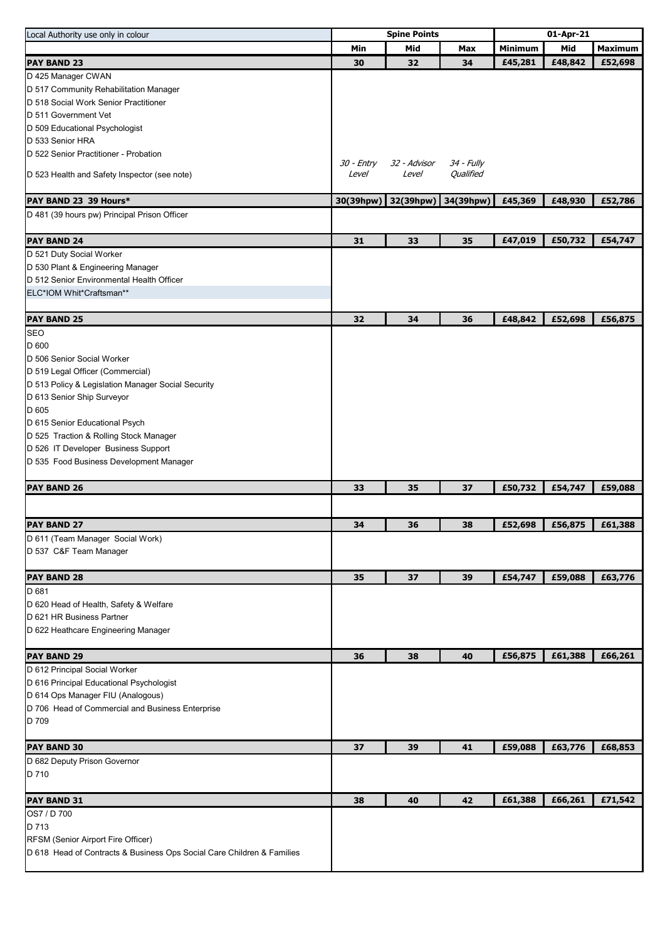| Local Authority use only in colour                                     | <b>Spine Points</b> |                       |            | 01-Apr-21      |         |                |
|------------------------------------------------------------------------|---------------------|-----------------------|------------|----------------|---------|----------------|
|                                                                        | Min                 | Mid                   | Max        | <b>Minimum</b> | Mid     | <b>Maximum</b> |
| <b>PAY BAND 23</b>                                                     | 30                  | 32                    | 34         | £45,281        | £48,842 | £52,698        |
| D 425 Manager CWAN                                                     |                     |                       |            |                |         |                |
| D 517 Community Rehabilitation Manager                                 |                     |                       |            |                |         |                |
| D 518 Social Work Senior Practitioner                                  |                     |                       |            |                |         |                |
| D 511 Government Vet                                                   |                     |                       |            |                |         |                |
| D 509 Educational Psychologist                                         |                     |                       |            |                |         |                |
| D 533 Senior HRA                                                       |                     |                       |            |                |         |                |
| D 522 Senior Practitioner - Probation                                  | 30 - Entry          |                       | 34 - Fully |                |         |                |
| D 523 Health and Safety Inspector (see note)                           | Level               | 32 - Advisor<br>Level | Qualified  |                |         |                |
|                                                                        |                     |                       |            |                |         |                |
| PAY BAND 23 39 Hours*                                                  | 30(39hpw)           | 32(39hpw)             | 34(39hpw)  | £45,369        | £48,930 | £52,786        |
| D 481 (39 hours pw) Principal Prison Officer                           |                     |                       |            |                |         |                |
|                                                                        |                     |                       |            |                |         |                |
| <b>PAY BAND 24</b>                                                     | 31                  | 33                    | 35         | £47,019        | £50,732 | £54,747        |
| D 521 Duty Social Worker                                               |                     |                       |            |                |         |                |
| D 530 Plant & Engineering Manager                                      |                     |                       |            |                |         |                |
| D 512 Senior Environmental Health Officer                              |                     |                       |            |                |         |                |
| ELC*IOM Whit*Craftsman**                                               |                     |                       |            |                |         |                |
|                                                                        |                     |                       |            |                |         |                |
| <b>PAY BAND 25</b>                                                     | 32                  | 34                    | 36         | £48,842        | £52,698 | £56,875        |
| <b>SEO</b>                                                             |                     |                       |            |                |         |                |
| D 600                                                                  |                     |                       |            |                |         |                |
| D 506 Senior Social Worker                                             |                     |                       |            |                |         |                |
| D 519 Legal Officer (Commercial)                                       |                     |                       |            |                |         |                |
| D 513 Policy & Legislation Manager Social Security                     |                     |                       |            |                |         |                |
| D 613 Senior Ship Surveyor                                             |                     |                       |            |                |         |                |
| D 605                                                                  |                     |                       |            |                |         |                |
| D 615 Senior Educational Psych                                         |                     |                       |            |                |         |                |
| D 525 Traction & Rolling Stock Manager                                 |                     |                       |            |                |         |                |
| D 526 IT Developer Business Support                                    |                     |                       |            |                |         |                |
| D 535 Food Business Development Manager                                |                     |                       |            |                |         |                |
| <b>PAY BAND 26</b>                                                     | 33                  | 35                    | 37         | £50,732        | £54,747 | £59,088        |
|                                                                        |                     |                       |            |                |         |                |
| <b>PAY BAND 27</b>                                                     | 34                  | 36                    | 38         | £52,698        | £56,875 | £61,388        |
| D 611 (Team Manager Social Work)                                       |                     |                       |            |                |         |                |
| D 537 C&F Team Manager                                                 |                     |                       |            |                |         |                |
|                                                                        |                     |                       |            |                |         |                |
| <b>PAY BAND 28</b>                                                     | 35                  | 37                    | 39         | £54,747        | £59,088 | £63,776        |
| D 681                                                                  |                     |                       |            |                |         |                |
| D 620 Head of Health, Safety & Welfare                                 |                     |                       |            |                |         |                |
| D 621 HR Business Partner                                              |                     |                       |            |                |         |                |
| D 622 Heathcare Engineering Manager                                    |                     |                       |            |                |         |                |
|                                                                        |                     |                       |            |                |         |                |
| <b>PAY BAND 29</b>                                                     | 36                  | 38                    | 40         | £56,875        | £61,388 | £66,261        |
| D 612 Principal Social Worker                                          |                     |                       |            |                |         |                |
| D 616 Principal Educational Psychologist                               |                     |                       |            |                |         |                |
| D 614 Ops Manager FIU (Analogous)                                      |                     |                       |            |                |         |                |
| D 706 Head of Commercial and Business Enterprise                       |                     |                       |            |                |         |                |
| D 709                                                                  |                     |                       |            |                |         |                |
|                                                                        |                     |                       |            |                |         |                |
| <b>PAY BAND 30</b>                                                     | 37                  | 39                    | 41         | £59,088        | £63,776 | £68,853        |
| D 682 Deputy Prison Governor                                           |                     |                       |            |                |         |                |
| D 710                                                                  |                     |                       |            |                |         |                |
| PAY BAND 31                                                            | 38                  | 40                    | 42         | £61,388        | £66,261 | £71,542        |
| OS7 / D 700                                                            |                     |                       |            |                |         |                |
| D 713                                                                  |                     |                       |            |                |         |                |
| RFSM (Senior Airport Fire Officer)                                     |                     |                       |            |                |         |                |
| D 618 Head of Contracts & Business Ops Social Care Children & Families |                     |                       |            |                |         |                |
|                                                                        |                     |                       |            |                |         |                |